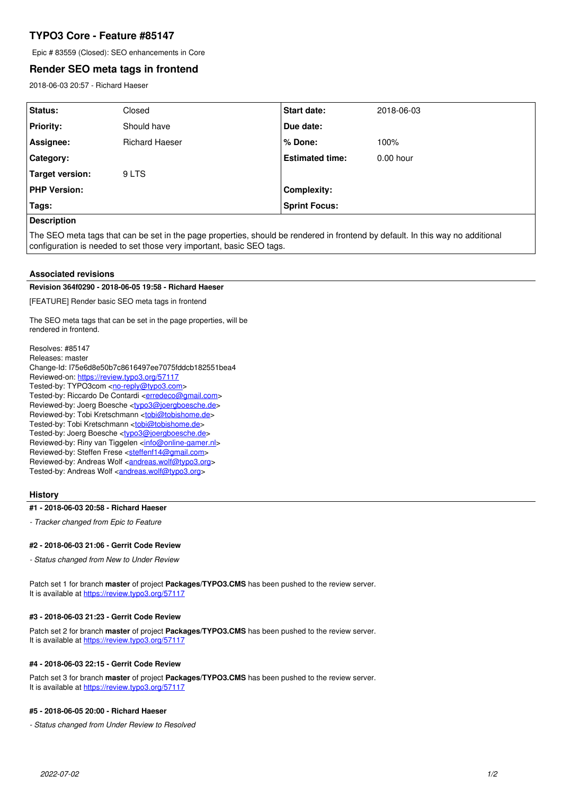# **TYPO3 Core - Feature #85147**

Epic # 83559 (Closed): SEO enhancements in Core

## **Render SEO meta tags in frontend**

2018-06-03 20:57 - Richard Haeser

| <b>Status:</b>      | Closed                | <b>Start date:</b>     | 2018-06-03  |
|---------------------|-----------------------|------------------------|-------------|
| <b>Priority:</b>    | Should have           | Due date:              |             |
| Assignee:           | <b>Richard Haeser</b> | % Done:                | 100%        |
| Category:           |                       | <b>Estimated time:</b> | $0.00$ hour |
| Target version:     | 9 LTS                 |                        |             |
| <b>PHP Version:</b> |                       | Complexity:            |             |
| Tags:               |                       | <b>Sprint Focus:</b>   |             |
| <b>Description</b>  |                       |                        |             |

The SEO meta tags that can be set in the page properties, should be rendered in frontend by default. In this way no additional configuration is needed to set those very important, basic SEO tags.

#### **Associated revisions**

### **Revision 364f0290 - 2018-06-05 19:58 - Richard Haeser**

[FEATURE] Render basic SEO meta tags in frontend

The SEO meta tags that can be set in the page properties, will be rendered in frontend.

Resolves: #85147 Releases: master Change-Id: I75e6d8e50b7c8616497ee7075fddcb182551bea4 Reviewed-on:<https://review.typo3.org/57117> Tested-by: TYPO3com [<no-reply@typo3.com](mailto:no-reply@typo3.com)> Tested-by: Riccardo De Contardi <[erredeco@gmail.com>](mailto:erredeco@gmail.com) Reviewed-by: Joerg Boesche [<typo3@joergboesche.de>](mailto:typo3@joergboesche.de) Reviewed-by: Tobi Kretschmann <[tobi@tobishome.de>](mailto:tobi@tobishome.de) Tested-by: Tobi Kretschmann [<tobi@tobishome.de](mailto:tobi@tobishome.de)> Tested-by: Joerg Boesche [<typo3@joergboesche.de](mailto:typo3@joergboesche.de)> Reviewed-by: Riny van Tiggelen <[info@online-gamer.nl>](mailto:info@online-gamer.nl) Reviewed-by: Steffen Frese <[steffenf14@gmail.com](mailto:steffenf14@gmail.com)> Reviewed-by: Andreas Wolf <[andreas.wolf@typo3.org>](mailto:andreas.wolf@typo3.org) Tested-by: Andreas Wolf [<andreas.wolf@typo3.org>](mailto:andreas.wolf@typo3.org)

## **History**

#### **#1 - 2018-06-03 20:58 - Richard Haeser**

*- Tracker changed from Epic to Feature*

## **#2 - 2018-06-03 21:06 - Gerrit Code Review**

*- Status changed from New to Under Review*

Patch set 1 for branch **master** of project **Packages/TYPO3.CMS** has been pushed to the review server. It is available at <https://review.typo3.org/57117>

#### **#3 - 2018-06-03 21:23 - Gerrit Code Review**

Patch set 2 for branch **master** of project **Packages/TYPO3.CMS** has been pushed to the review server. It is available at <https://review.typo3.org/57117>

### **#4 - 2018-06-03 22:15 - Gerrit Code Review**

Patch set 3 for branch **master** of project **Packages/TYPO3.CMS** has been pushed to the review server. It is available at <https://review.typo3.org/57117>

#### **#5 - 2018-06-05 20:00 - Richard Haeser**

*- Status changed from Under Review to Resolved*